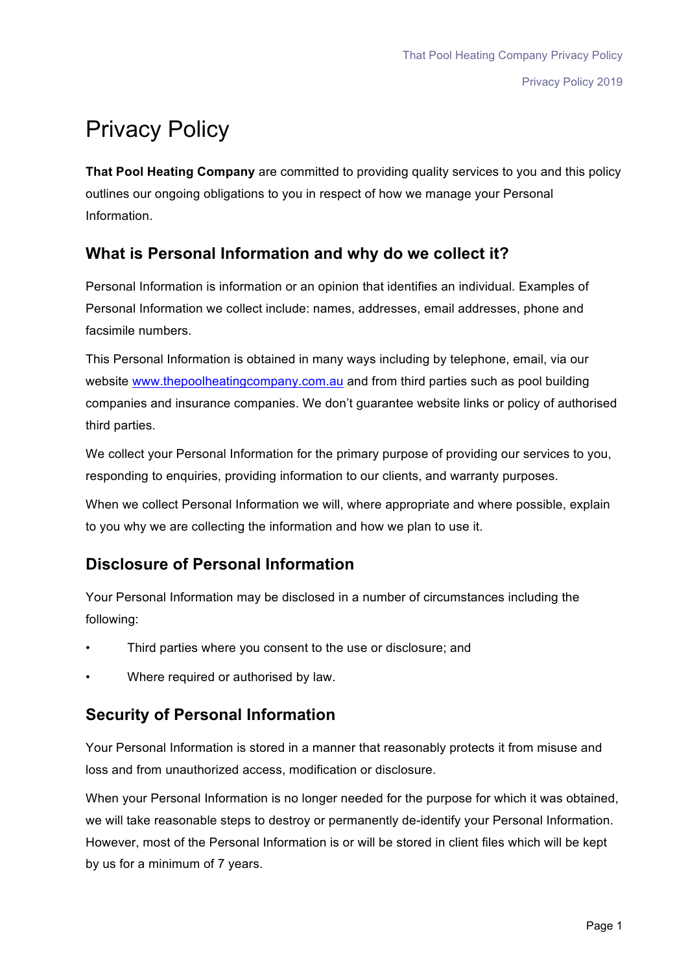# Privacy Policy

**That Pool Heating Company** are committed to providing quality services to you and this policy outlines our ongoing obligations to you in respect of how we manage your Personal Information.

### **What is Personal Information and why do we collect it?**

Personal Information is information or an opinion that identifies an individual. Examples of Personal Information we collect include: names, addresses, email addresses, phone and facsimile numbers.

This Personal Information is obtained in many ways including by telephone, email, via our website www.thepoolheatingcompany.com.au and from third parties such as pool building companies and insurance companies. We don't guarantee website links or policy of authorised third parties.

We collect your Personal Information for the primary purpose of providing our services to you, responding to enquiries, providing information to our clients, and warranty purposes.

When we collect Personal Information we will, where appropriate and where possible, explain to you why we are collecting the information and how we plan to use it.

## **Disclosure of Personal Information**

Your Personal Information may be disclosed in a number of circumstances including the following:

- Third parties where you consent to the use or disclosure; and
- Where required or authorised by law.

### **Security of Personal Information**

Your Personal Information is stored in a manner that reasonably protects it from misuse and loss and from unauthorized access, modification or disclosure.

When your Personal Information is no longer needed for the purpose for which it was obtained, we will take reasonable steps to destroy or permanently de-identify your Personal Information. However, most of the Personal Information is or will be stored in client files which will be kept by us for a minimum of 7 years.